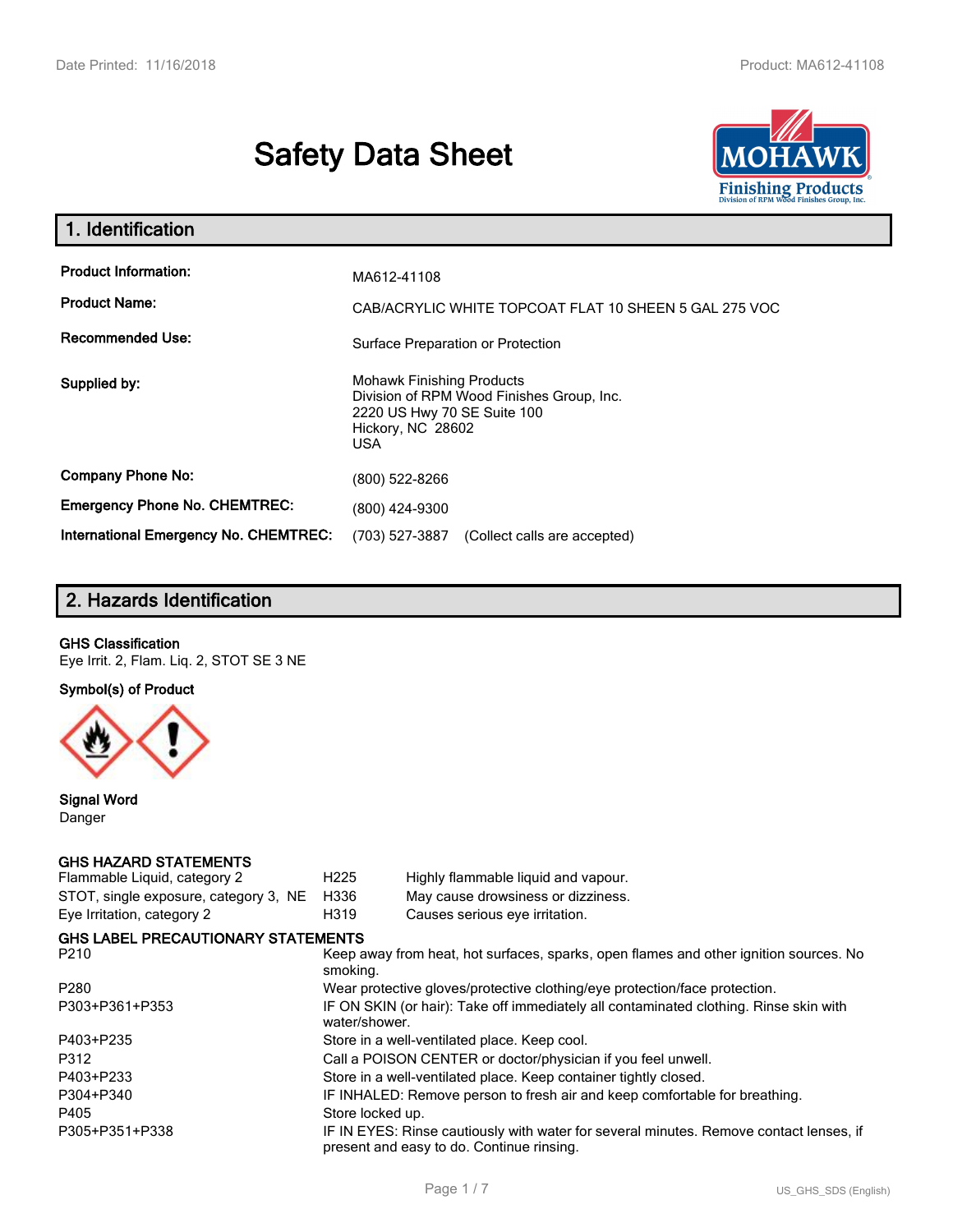# **Safety Data Sheet**



| 1. Identification                                                              |                                                                                                                                                                                      |
|--------------------------------------------------------------------------------|--------------------------------------------------------------------------------------------------------------------------------------------------------------------------------------|
| <b>Product Information:</b><br><b>Product Name:</b><br><b>Recommended Use:</b> | MA612-41108<br>CAB/ACRYLIC WHITE TOPCOAT FLAT 10 SHEEN 5 GAL 275 VOC                                                                                                                 |
| Supplied by:                                                                   | Surface Preparation or Protection<br><b>Mohawk Finishing Products</b><br>Division of RPM Wood Finishes Group, Inc.<br>2220 US Hwy 70 SE Suite 100<br>Hickory, NC 28602<br><b>USA</b> |
| <b>Company Phone No:</b>                                                       | (800) 522-8266                                                                                                                                                                       |
| <b>Emergency Phone No. CHEMTREC:</b>                                           | (800) 424-9300                                                                                                                                                                       |
| International Emergency No. CHEMTREC:                                          | (703) 527-3887<br>(Collect calls are accepted)                                                                                                                                       |

# **2. Hazards Identification**

#### **GHS Classification**

Eye Irrit. 2, Flam. Liq. 2, STOT SE 3 NE

**Symbol(s) of Product**



**Signal Word** Danger

## **GHS HAZARD STATEMENTS**

| Flammable Liquid, category 2              | H <sub>225</sub> | Highly flammable liquid and vapour.                                                                                                 |
|-------------------------------------------|------------------|-------------------------------------------------------------------------------------------------------------------------------------|
| STOT, single exposure, category 3, NE     | H336             | May cause drowsiness or dizziness.                                                                                                  |
| Eye Irritation, category 2                | H319             | Causes serious eye irritation.                                                                                                      |
| <b>GHS LABEL PRECAUTIONARY STATEMENTS</b> |                  |                                                                                                                                     |
| P210                                      | smoking.         | Keep away from heat, hot surfaces, sparks, open flames and other ignition sources. No                                               |
| P280                                      |                  | Wear protective gloves/protective clothing/eye protection/face protection.                                                          |
| P303+P361+P353                            | water/shower.    | IF ON SKIN (or hair): Take off immediately all contaminated clothing. Rinse skin with                                               |
| P403+P235                                 |                  | Store in a well-ventilated place. Keep cool.                                                                                        |
| P312                                      |                  | Call a POISON CENTER or doctor/physician if you feel unwell.                                                                        |
| P403+P233                                 |                  | Store in a well-ventilated place. Keep container tightly closed.                                                                    |
| P304+P340                                 |                  | IF INHALED: Remove person to fresh air and keep comfortable for breathing.                                                          |
| P405                                      | Store locked up. |                                                                                                                                     |
| P305+P351+P338                            |                  | IF IN EYES: Rinse cautiously with water for several minutes. Remove contact lenses, if<br>present and easy to do. Continue rinsing. |
|                                           |                  |                                                                                                                                     |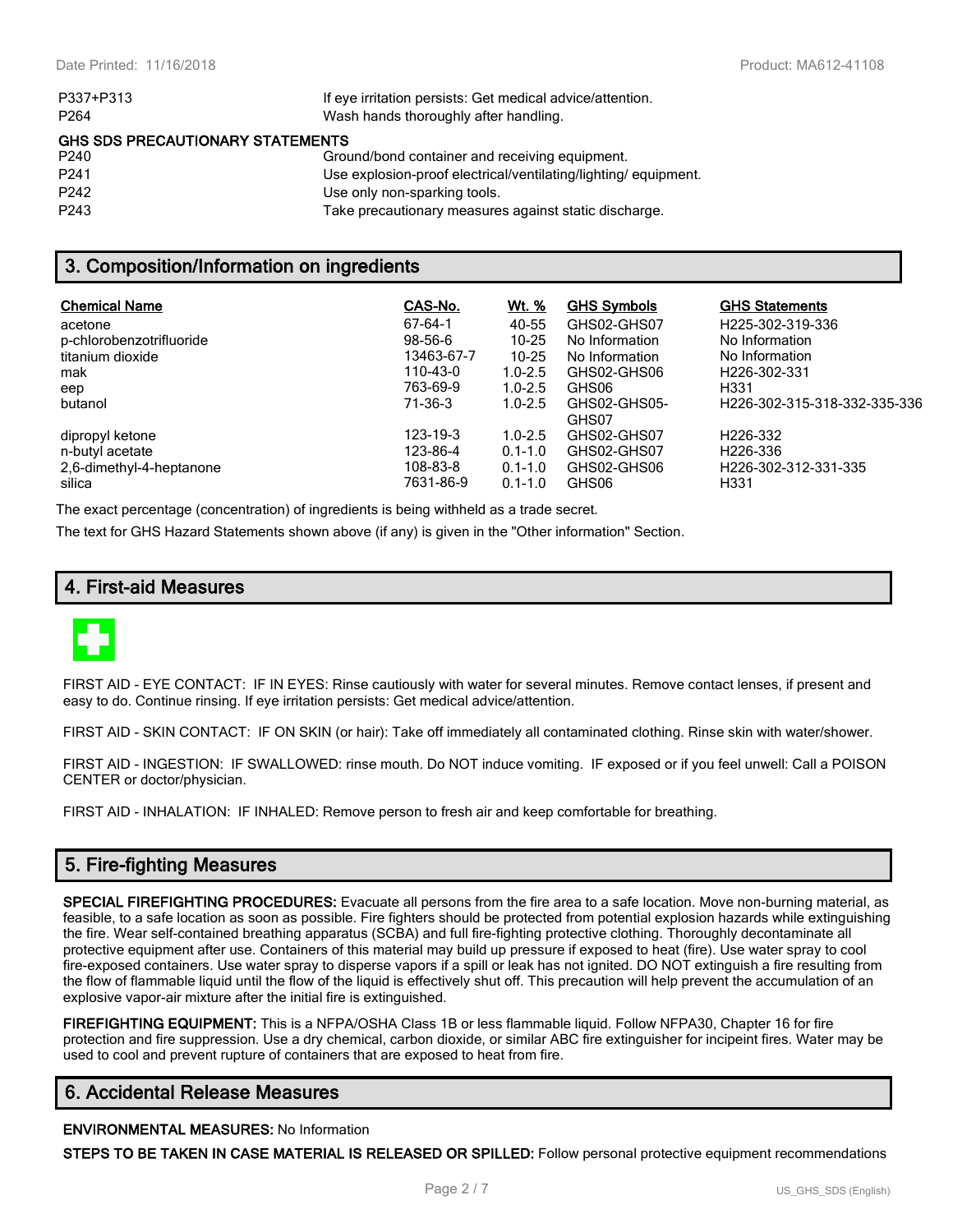| P337+P313                               | If eye irritation persists: Get medical advice/attention.      |
|-----------------------------------------|----------------------------------------------------------------|
| P <sub>264</sub>                        | Wash hands thoroughly after handling.                          |
| <b>GHS SDS PRECAUTIONARY STATEMENTS</b> |                                                                |
| P <sub>240</sub>                        | Ground/bond container and receiving equipment.                 |
| P <sub>241</sub>                        | Use explosion-proof electrical/ventilating/lighting/equipment. |
| P <sub>242</sub>                        | Use only non-sparking tools.                                   |
| P <sub>243</sub>                        | Take precautionary measures against static discharge.          |
|                                         |                                                                |

## **3. Composition/Information on ingredients**

| <b>Chemical Name</b><br>acetone<br>p-chlorobenzotrifluoride<br>titanium dioxide<br>mak<br>eep<br>butanol | CAS-No.<br>67-64-1<br>$98-56-6$<br>13463-67-7<br>110-43-0<br>763-69-9<br>71-36-3 | Wt. %<br>40-55<br>$10 - 25$<br>$10 - 25$<br>$1.0 - 2.5$<br>$1.0 - 2.5$<br>$1.0 - 2.5$ | <b>GHS Symbols</b><br>GHS02-GHS07<br>No Information<br>No Information<br>GHS02-GHS06<br>GHS06<br>GHS02-GHS05-<br>GHS07 | <b>GHS Statements</b><br>H225-302-319-336<br>No Information<br>No Information<br>H <sub>226</sub> -302-331<br>H <sub>331</sub><br>H226-302-315-318-332-335-336 |
|----------------------------------------------------------------------------------------------------------|----------------------------------------------------------------------------------|---------------------------------------------------------------------------------------|------------------------------------------------------------------------------------------------------------------------|----------------------------------------------------------------------------------------------------------------------------------------------------------------|
| dipropyl ketone                                                                                          | 123-19-3                                                                         | $1.0 - 2.5$                                                                           | GHS02-GHS07                                                                                                            | H <sub>226</sub> -332                                                                                                                                          |
| n-butyl acetate                                                                                          | 123-86-4                                                                         | $0.1 - 1.0$                                                                           | GHS02-GHS07                                                                                                            | H <sub>226</sub> -336                                                                                                                                          |
| 2,6-dimethyl-4-heptanone                                                                                 | 108-83-8                                                                         | $0.1 - 1.0$                                                                           | GHS02-GHS06                                                                                                            | H226-302-312-331-335                                                                                                                                           |
| silica                                                                                                   | 7631-86-9                                                                        | $0.1 - 1.0$                                                                           | GHS06                                                                                                                  | H <sub>331</sub>                                                                                                                                               |

The exact percentage (concentration) of ingredients is being withheld as a trade secret.

The text for GHS Hazard Statements shown above (if any) is given in the "Other information" Section.

## **4. First-aid Measures**



FIRST AID - EYE CONTACT: IF IN EYES: Rinse cautiously with water for several minutes. Remove contact lenses, if present and easy to do. Continue rinsing. If eye irritation persists: Get medical advice/attention.

FIRST AID - SKIN CONTACT: IF ON SKIN (or hair): Take off immediately all contaminated clothing. Rinse skin with water/shower.

FIRST AID - INGESTION: IF SWALLOWED: rinse mouth. Do NOT induce vomiting. IF exposed or if you feel unwell: Call a POISON CENTER or doctor/physician.

FIRST AID - INHALATION: IF INHALED: Remove person to fresh air and keep comfortable for breathing.

## **5. Fire-fighting Measures**

**SPECIAL FIREFIGHTING PROCEDURES:** Evacuate all persons from the fire area to a safe location. Move non-burning material, as feasible, to a safe location as soon as possible. Fire fighters should be protected from potential explosion hazards while extinguishing the fire. Wear self-contained breathing apparatus (SCBA) and full fire-fighting protective clothing. Thoroughly decontaminate all protective equipment after use. Containers of this material may build up pressure if exposed to heat (fire). Use water spray to cool fire-exposed containers. Use water spray to disperse vapors if a spill or leak has not ignited. DO NOT extinguish a fire resulting from the flow of flammable liquid until the flow of the liquid is effectively shut off. This precaution will help prevent the accumulation of an explosive vapor-air mixture after the initial fire is extinguished.

**FIREFIGHTING EQUIPMENT:** This is a NFPA/OSHA Class 1B or less flammable liquid. Follow NFPA30, Chapter 16 for fire protection and fire suppression. Use a dry chemical, carbon dioxide, or similar ABC fire extinguisher for incipeint fires. Water may be used to cool and prevent rupture of containers that are exposed to heat from fire.

## **6. Accidental Release Measures**

#### **ENVIRONMENTAL MEASURES:** No Information

**STEPS TO BE TAKEN IN CASE MATERIAL IS RELEASED OR SPILLED:** Follow personal protective equipment recommendations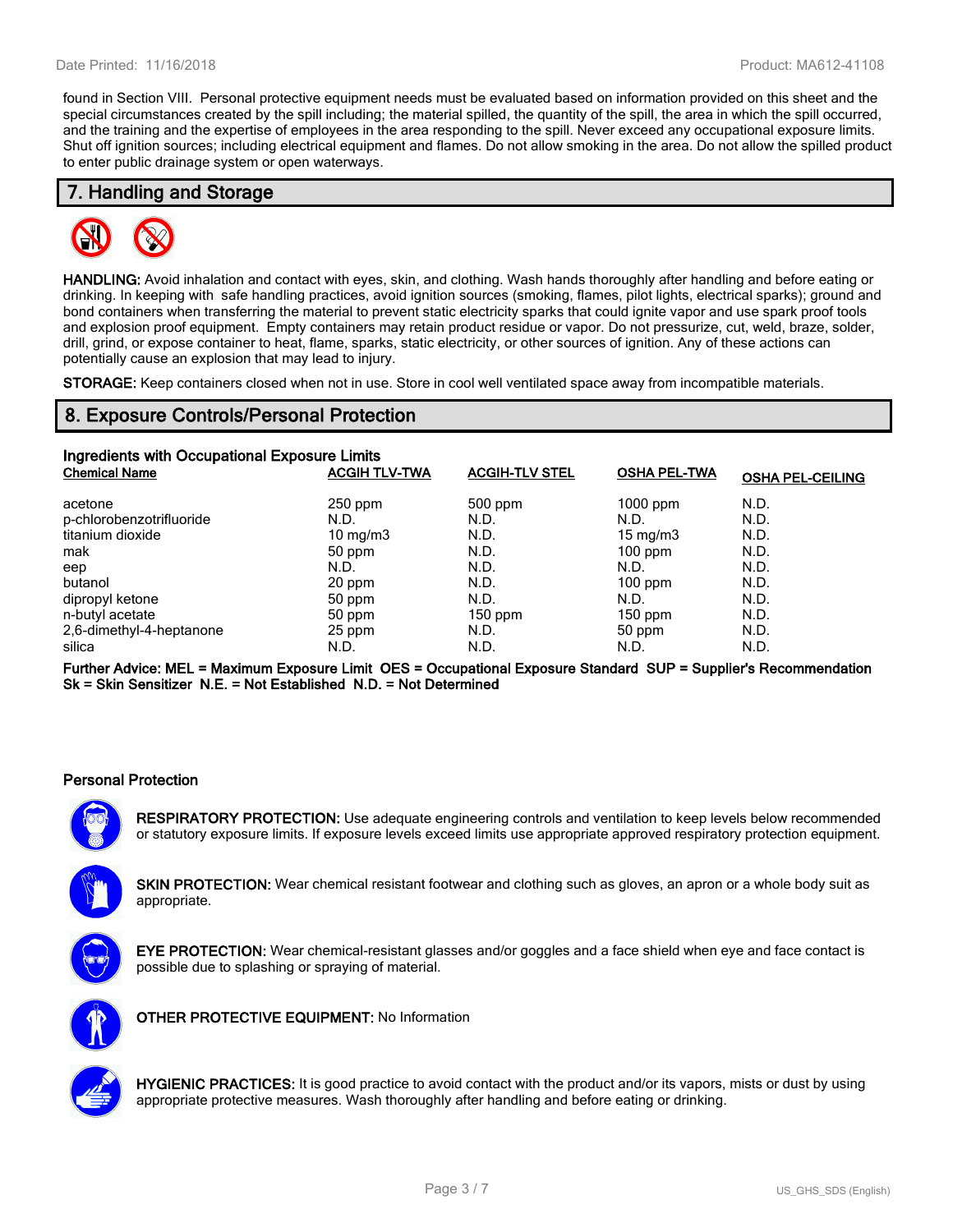found in Section VIII. Personal protective equipment needs must be evaluated based on information provided on this sheet and the special circumstances created by the spill including; the material spilled, the quantity of the spill, the area in which the spill occurred, and the training and the expertise of employees in the area responding to the spill. Never exceed any occupational exposure limits. Shut off ignition sources; including electrical equipment and flames. Do not allow smoking in the area. Do not allow the spilled product to enter public drainage system or open waterways.

## **7. Handling and Storage**



**HANDLING:** Avoid inhalation and contact with eyes, skin, and clothing. Wash hands thoroughly after handling and before eating or drinking. In keeping with safe handling practices, avoid ignition sources (smoking, flames, pilot lights, electrical sparks); ground and bond containers when transferring the material to prevent static electricity sparks that could ignite vapor and use spark proof tools and explosion proof equipment. Empty containers may retain product residue or vapor. Do not pressurize, cut, weld, braze, solder, drill, grind, or expose container to heat, flame, sparks, static electricity, or other sources of ignition. Any of these actions can potentially cause an explosion that may lead to injury.

**STORAGE:** Keep containers closed when not in use. Store in cool well ventilated space away from incompatible materials.

## **8. Exposure Controls/Personal Protection**

| Ingredients with Occupational Exposure Limits |                      |                       |                     |                         |  |
|-----------------------------------------------|----------------------|-----------------------|---------------------|-------------------------|--|
| <b>Chemical Name</b>                          | <b>ACGIH TLV-TWA</b> | <b>ACGIH-TLV STEL</b> | <b>OSHA PEL-TWA</b> | <b>OSHA PEL-CEILING</b> |  |
| acetone                                       | $250$ ppm            | $500$ ppm             | $1000$ ppm          | N.D.                    |  |
| p-chlorobenzotrifluoride                      | N.D.                 | N.D.                  | N.D.                | N.D.                    |  |
| titanium dioxide                              | $10 \text{ mg/m}$    | N.D.                  | 15 mg/m $3$         | N.D.                    |  |
| mak                                           | 50 ppm               | N.D.                  | $100$ ppm           | N.D.                    |  |
| eep                                           | N.D.                 | N.D.                  | N.D.                | N.D.                    |  |
| butanol                                       | 20 ppm               | N.D.                  | $100$ ppm           | N.D.                    |  |
| dipropyl ketone                               | 50 ppm               | N.D.                  | N.D.                | N.D.                    |  |
| n-butyl acetate                               | 50 ppm               | $150$ ppm             | $150$ ppm           | N.D.                    |  |
| 2,6-dimethyl-4-heptanone                      | 25 ppm               | N.D.                  | 50 ppm              | N.D.                    |  |
| silica                                        | N.D.                 | N.D.                  | N.D.                | N.D.                    |  |

**Further Advice: MEL = Maximum Exposure Limit OES = Occupational Exposure Standard SUP = Supplier's Recommendation Sk = Skin Sensitizer N.E. = Not Established N.D. = Not Determined**

#### **Personal Protection**

**RESPIRATORY PROTECTION:** Use adequate engineering controls and ventilation to keep levels below recommended or statutory exposure limits. If exposure levels exceed limits use appropriate approved respiratory protection equipment.

**SKIN PROTECTION:** Wear chemical resistant footwear and clothing such as gloves, an apron or a whole body suit as appropriate.



**EYE PROTECTION:** Wear chemical-resistant glasses and/or goggles and a face shield when eye and face contact is possible due to splashing or spraying of material.



**OTHER PROTECTIVE EQUIPMENT:** No Information



**HYGIENIC PRACTICES:** It is good practice to avoid contact with the product and/or its vapors, mists or dust by using appropriate protective measures. Wash thoroughly after handling and before eating or drinking.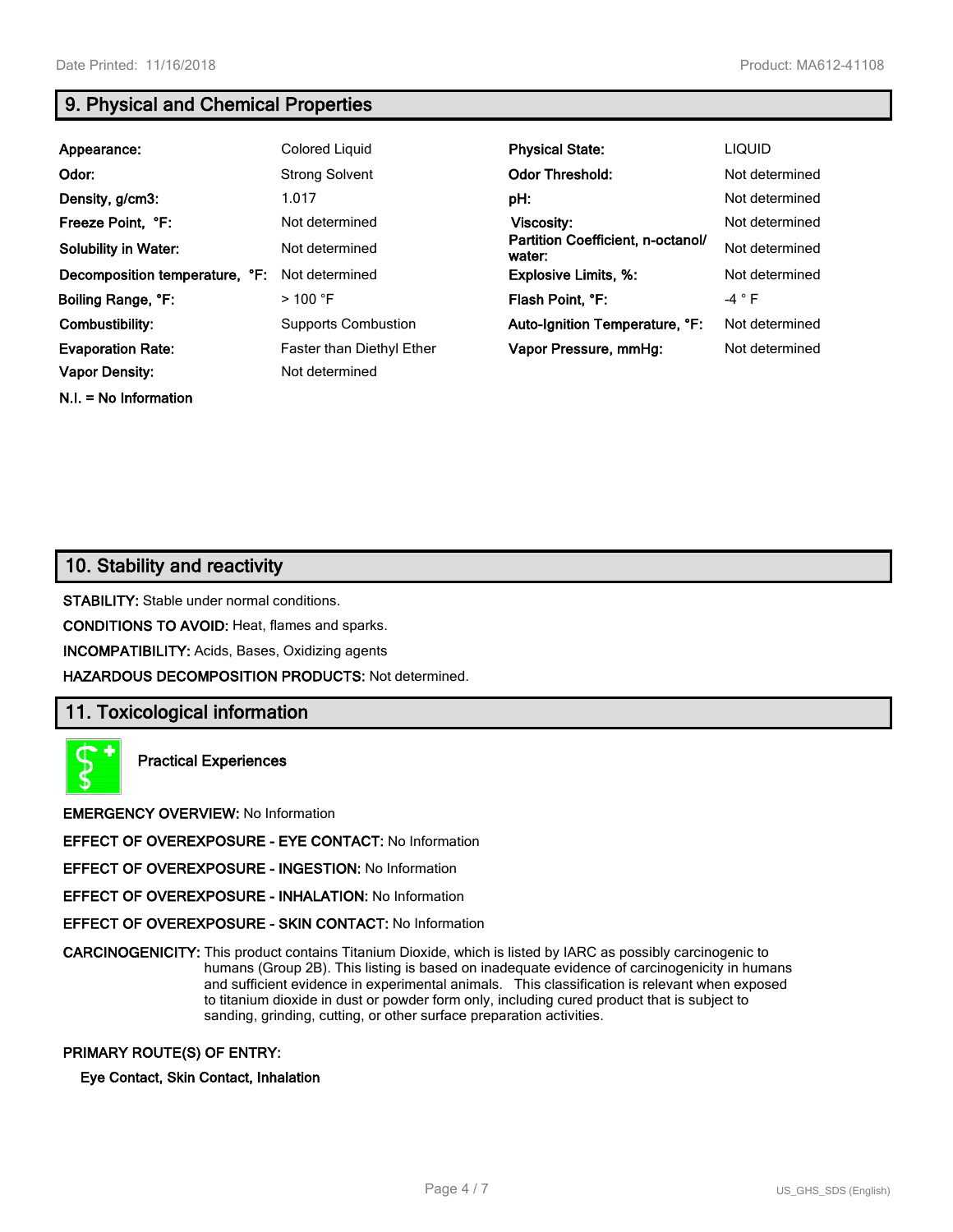**N.I. = No Information**

# **9. Physical and Chemical Properties**

| Appearance:                    | Colored Liquid             | <b>Physical State:</b>                      | <b>LIQUID</b>  |
|--------------------------------|----------------------------|---------------------------------------------|----------------|
| Odor:                          | <b>Strong Solvent</b>      | <b>Odor Threshold:</b>                      | Not determined |
| Density, g/cm3:                | 1.017                      | pH:                                         | Not determined |
| Freeze Point, °F:              | Not determined             | Viscosity:                                  | Not determined |
| <b>Solubility in Water:</b>    | Not determined             | Partition Coefficient, n-octanol/<br>water: | Not determined |
| Decomposition temperature, °F: | Not determined             | <b>Explosive Limits, %:</b>                 | Not determined |
| Boiling Range, °F:             | $>100$ °F                  | Flash Point, °F:                            | $-4 ° F$       |
| Combustibility:                | <b>Supports Combustion</b> | Auto-Ignition Temperature, °F:              | Not determined |
| <b>Evaporation Rate:</b>       | Faster than Diethyl Ether  | Vapor Pressure, mmHq:                       | Not determined |
| <b>Vapor Density:</b>          | Not determined             |                                             |                |

# **10. Stability and reactivity**

**STABILITY:** Stable under normal conditions.

**CONDITIONS TO AVOID:** Heat, flames and sparks.

**INCOMPATIBILITY:** Acids, Bases, Oxidizing agents

**HAZARDOUS DECOMPOSITION PRODUCTS:** Not determined.

## **11. Toxicological information**



**Practical Experiences**

**EMERGENCY OVERVIEW:** No Information

**EFFECT OF OVEREXPOSURE - EYE CONTACT:** No Information

**EFFECT OF OVEREXPOSURE - INGESTION:** No Information

**EFFECT OF OVEREXPOSURE - INHALATION:** No Information

**EFFECT OF OVEREXPOSURE - SKIN CONTACT:** No Information

**CARCINOGENICITY:** This product contains Titanium Dioxide, which is listed by IARC as possibly carcinogenic to humans (Group 2B). This listing is based on inadequate evidence of carcinogenicity in humans and sufficient evidence in experimental animals. This classification is relevant when exposed to titanium dioxide in dust or powder form only, including cured product that is subject to sanding, grinding, cutting, or other surface preparation activities.

#### **PRIMARY ROUTE(S) OF ENTRY:**

**Eye Contact, Skin Contact, Inhalation**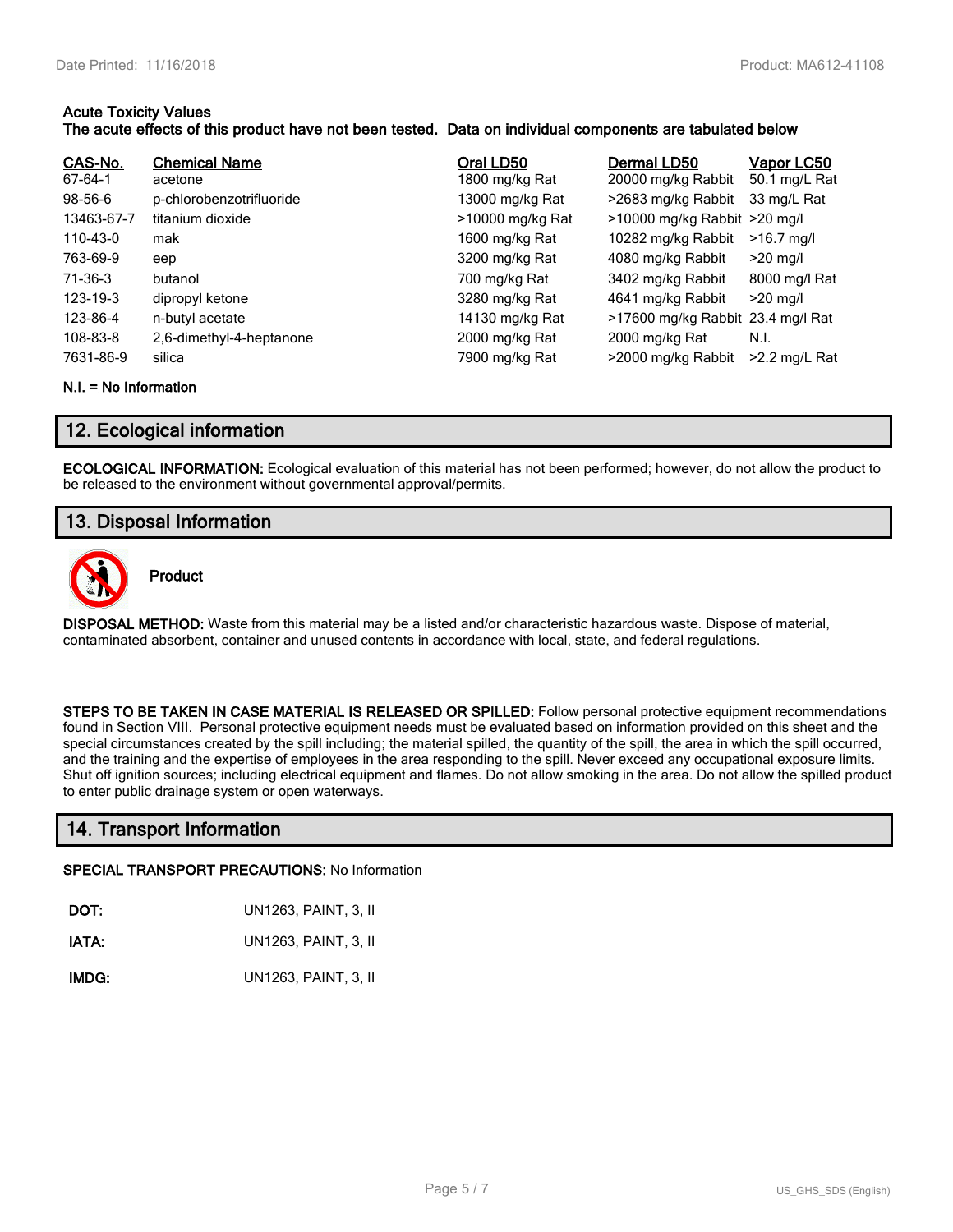#### **Acute Toxicity Values The acute effects of this product have not been tested. Data on individual components are tabulated below**

| CAS-No.<br>67-64-1<br>$98-56-6$<br>13463-67-7<br>110-43-0<br>763-69-9<br>71-36-3<br>123-19-3<br>123-86-4 | <b>Chemical Name</b><br>acetone<br>p-chlorobenzotrifluoride<br>titanium dioxide<br>mak<br>eep<br>butanol<br>dipropyl ketone<br>n-butyl acetate | Oral LD50<br>1800 mg/kg Rat<br>13000 mg/kg Rat<br>>10000 mg/kg Rat<br>1600 mg/kg Rat<br>3200 mg/kg Rat<br>700 mg/kg Rat<br>3280 mg/kg Rat<br>14130 mg/kg Rat | Dermal LD50<br>20000 mg/kg Rabbit<br>>2683 mg/kg Rabbit<br>>10000 mg/kg Rabbit >20 mg/l<br>10282 mg/kg Rabbit<br>4080 mg/kg Rabbit<br>3402 mg/kg Rabbit<br>4641 mg/kg Rabbit<br>>17600 mg/kg Rabbit 23.4 mg/l Rat | Vapor LC50<br>50.1 mg/L Rat<br>33 mg/L Rat<br>$>16.7$ mg/l<br>$>20$ mg/l<br>8000 mg/l Rat<br>$>20$ mg/l |
|----------------------------------------------------------------------------------------------------------|------------------------------------------------------------------------------------------------------------------------------------------------|--------------------------------------------------------------------------------------------------------------------------------------------------------------|-------------------------------------------------------------------------------------------------------------------------------------------------------------------------------------------------------------------|---------------------------------------------------------------------------------------------------------|
| 108-83-8                                                                                                 | 2,6-dimethyl-4-heptanone                                                                                                                       | 2000 mg/kg Rat                                                                                                                                               | 2000 mg/kg Rat                                                                                                                                                                                                    | N.I.                                                                                                    |
| 7631-86-9                                                                                                | silica                                                                                                                                         | 7900 mg/kg Rat                                                                                                                                               | >2000 mg/kg Rabbit                                                                                                                                                                                                | $>2.2$ mg/L Rat                                                                                         |

#### **N.I. = No Information**

## **12. Ecological information**

**ECOLOGICAL INFORMATION:** Ecological evaluation of this material has not been performed; however, do not allow the product to be released to the environment without governmental approval/permits.

# **13. Disposal Information**



**Product**

**DISPOSAL METHOD:** Waste from this material may be a listed and/or characteristic hazardous waste. Dispose of material, contaminated absorbent, container and unused contents in accordance with local, state, and federal regulations.

**STEPS TO BE TAKEN IN CASE MATERIAL IS RELEASED OR SPILLED:** Follow personal protective equipment recommendations found in Section VIII. Personal protective equipment needs must be evaluated based on information provided on this sheet and the special circumstances created by the spill including; the material spilled, the quantity of the spill, the area in which the spill occurred, and the training and the expertise of employees in the area responding to the spill. Never exceed any occupational exposure limits. Shut off ignition sources; including electrical equipment and flames. Do not allow smoking in the area. Do not allow the spilled product to enter public drainage system or open waterways.

## **14. Transport Information**

#### **SPECIAL TRANSPORT PRECAUTIONS:** No Information

| DOT:<br>UN1263, PAINT, 3, II |
|------------------------------|
|                              |

**IATA:** UN1263, PAINT, 3, II

**IMDG:** UN1263, PAINT, 3, II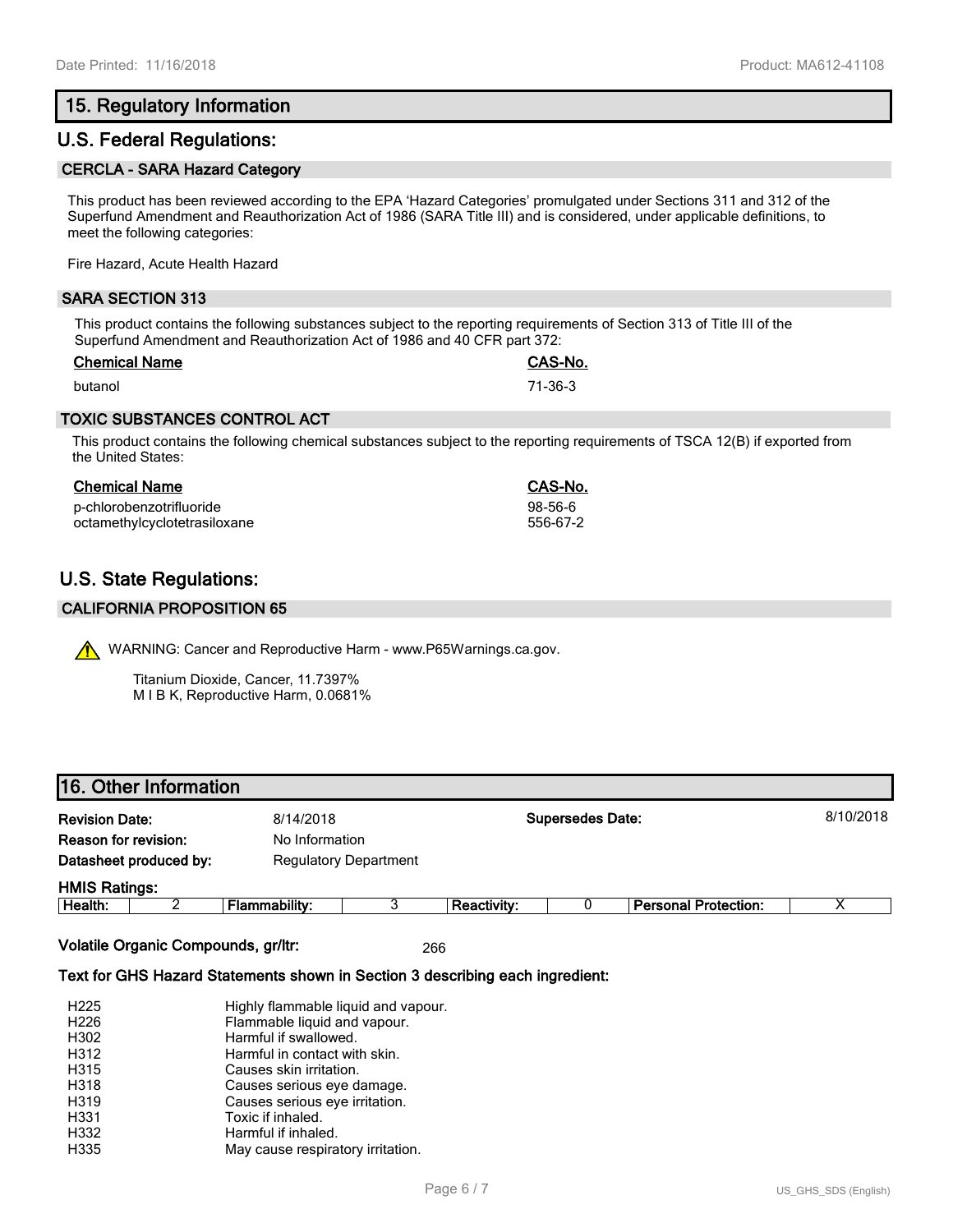# **15. Regulatory Information**

## **U.S. Federal Regulations:**

#### **CERCLA - SARA Hazard Category**

This product has been reviewed according to the EPA 'Hazard Categories' promulgated under Sections 311 and 312 of the Superfund Amendment and Reauthorization Act of 1986 (SARA Title III) and is considered, under applicable definitions, to meet the following categories:

Fire Hazard, Acute Health Hazard

#### **SARA SECTION 313**

This product contains the following substances subject to the reporting requirements of Section 313 of Title III of the Superfund Amendment and Reauthorization Act of 1986 and 40 CFR part 372:

| <b>Chemical Name</b> | CAS-No. |
|----------------------|---------|
| butanol              | 71-36-3 |

#### **TOXIC SUBSTANCES CONTROL ACT**

This product contains the following chemical substances subject to the reporting requirements of TSCA 12(B) if exported from the United States:

#### **Chemical Name CAS-No.**

p-chlorobenzotrifluoride 98-56-6 octamethylcyclotetrasiloxane

# **U.S. State Regulations:**

### **CALIFORNIA PROPOSITION 65**

WARNING: Cancer and Reproductive Harm - www.P65Warnings.ca.gov.

Titanium Dioxide, Cancer, 11.7397% M I B K, Reproductive Harm, 0.0681%

# **16. Other Information**

| <b>Revision Date:</b> |                        | 8/14/2018            |                              |                    | <b>Supersedes Date:</b> |                             | 8/10/2018 |
|-----------------------|------------------------|----------------------|------------------------------|--------------------|-------------------------|-----------------------------|-----------|
| Reason for revision:  |                        | No Information       |                              |                    |                         |                             |           |
|                       | Datasheet produced by: |                      | <b>Regulatory Department</b> |                    |                         |                             |           |
| <b>HMIS Ratings:</b>  |                        |                      |                              |                    |                         |                             |           |
| Health:               |                        | <b>Flammability:</b> |                              | <b>Reactivity:</b> |                         | <b>Personal Protection:</b> |           |

**Volatile Organic Compounds, gr/ltr:** 266

#### **Text for GHS Hazard Statements shown in Section 3 describing each ingredient:**

| H <sub>225</sub> | Highly flammable liquid and vapour. |
|------------------|-------------------------------------|
| H <sub>226</sub> | Flammable liquid and vapour.        |
| H302             | Harmful if swallowed.               |
| H312             | Harmful in contact with skin.       |
| H315             | Causes skin irritation.             |
| H318             | Causes serious eye damage.          |
| H319             | Causes serious eye irritation.      |
| H331             | Toxic if inhaled.                   |
| H332             | Harmful if inhaled.                 |
| H335             | May cause respiratory irritation.   |